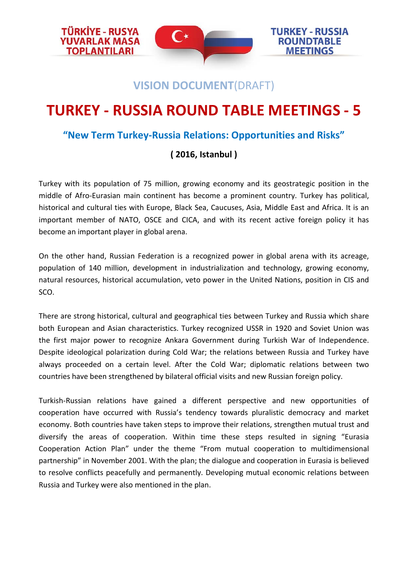

**TOPLANTILARI** 

**TURKEY - RUSSIA ROUNDTABLE MEETINGS** 

## **VISION DOCUMENT**(DRAFT)

# **TURKEY - RUSSIA ROUND TABLE MEETINGS - 5**

### **"New Term Turkey-Russia Relations: Opportunities and Risks"**

## **( 2016, Istanbul )**

Turkey with its population of 75 million, growing economy and its geostrategic position in the middle of Afro-Eurasian main continent has become a prominent country. Turkey has political, historical and cultural ties with Europe, Black Sea, Caucuses, Asia, Middle East and Africa. It is an important member of NATO, OSCE and CICA, and with its recent active foreign policy it has become an important player in global arena.

On the other hand, Russian Federation is a recognized power in global arena with its acreage, population of 140 million, development in industrialization and technology, growing economy, natural resources, historical accumulation, veto power in the United Nations, position in CIS and SCO.

There are strong historical, cultural and geographical ties between Turkey and Russia which share both European and Asian characteristics. Turkey recognized USSR in 1920 and Soviet Union was the first major power to recognize Ankara Government during Turkish War of Independence. Despite ideological polarization during Cold War; the relations between Russia and Turkey have always proceeded on a certain level. After the Cold War; diplomatic relations between two countries have been strengthened by bilateral official visits and new Russian foreign policy.

Turkish-Russian relations have gained a different perspective and new opportunities of cooperation have occurred with Russia's tendency towards pluralistic democracy and market economy. Both countries have taken steps to improve their relations, strengthen mutual trust and diversify the areas of cooperation. Within time these steps resulted in signing "Eurasia Cooperation Action Plan" under the theme "From mutual cooperation to multidimensional partnership" in November 2001. With the plan; the dialogue and cooperation in Eurasia is believed to resolve conflicts peacefully and permanently. Developing mutual economic relations between Russia and Turkey were also mentioned in the plan.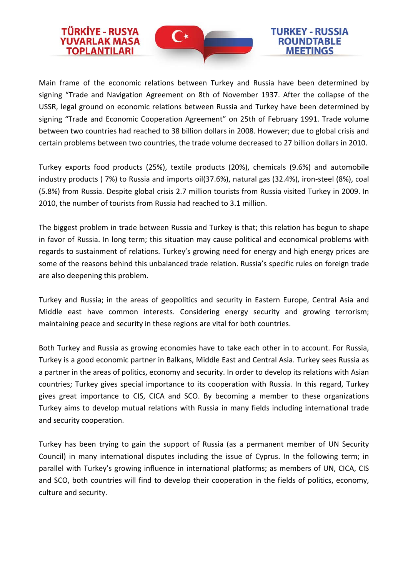

**TÜRKİYE - RUSYA** 

**TOPLANTILARI** 

#### **TURKEY - RUSSIA ROUNDTABLE MEETINGS**

Main frame of the economic relations between Turkey and Russia have been determined by signing "Trade and Navigation Agreement on 8th of November 1937. After the collapse of the USSR, legal ground on economic relations between Russia and Turkey have been determined by signing "Trade and Economic Cooperation Agreement" on 25th of February 1991. Trade volume between two countries had reached to 38 billion dollars in 2008. However; due to global crisis and certain problems between two countries, the trade volume decreased to 27 billion dollars in 2010.

Turkey exports food products (25%), textile products (20%), chemicals (9.6%) and automobile industry products ( 7%) to Russia and imports oil(37.6%), natural gas (32.4%), iron-steel (8%), coal (5.8%) from Russia. Despite global crisis 2.7 million tourists from Russia visited Turkey in 2009. In 2010, the number of tourists from Russia had reached to 3.1 million.

The biggest problem in trade between Russia and Turkey is that; this relation has begun to shape in favor of Russia. In long term; this situation may cause political and economical problems with regards to sustainment of relations. Turkey's growing need for energy and high energy prices are some of the reasons behind this unbalanced trade relation. Russia's specific rules on foreign trade are also deepening this problem.

Turkey and Russia; in the areas of geopolitics and security in Eastern Europe, Central Asia and Middle east have common interests. Considering energy security and growing terrorism; maintaining peace and security in these regions are vital for both countries.

Both Turkey and Russia as growing economies have to take each other in to account. For Russia, Turkey is a good economic partner in Balkans, Middle East and Central Asia. Turkey sees Russia as a partner in the areas of politics, economy and security. In order to develop its relations with Asian countries; Turkey gives special importance to its cooperation with Russia. In this regard, Turkey gives great importance to CIS, CICA and SCO. By becoming a member to these organizations Turkey aims to develop mutual relations with Russia in many fields including international trade and security cooperation.

Turkey has been trying to gain the support of Russia (as a permanent member of UN Security Council) in many international disputes including the issue of Cyprus. In the following term; in parallel with Turkey's growing influence in international platforms; as members of UN, CICA, CIS and SCO, both countries will find to develop their cooperation in the fields of politics, economy, culture and security.